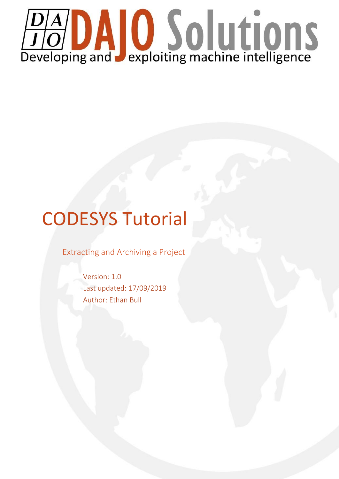

# CODESYS Tutorial

Extracting and Archiving a Project

Version: 1.0 Last updated: 17/09/2019 Author: Ethan Bull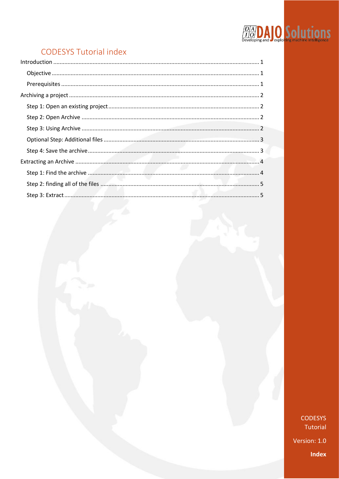# **DAD Solutions**

# **CODESYS Tutorial index**

**CODESYS** Tutorial Version: 1.0 **Index**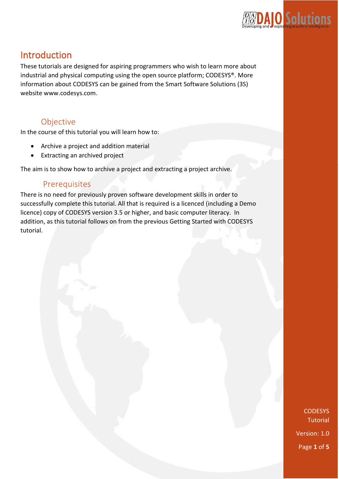

# <span id="page-2-0"></span>Introduction

These tutorials are designed for aspiring programmers who wish to learn more about industrial and physical computing using the open source platform; CODESYS®. More information about CODESYS can be gained from the Smart Software Solutions (3S) website www.codesys.com.

## Objective

<span id="page-2-1"></span>In the course of this tutorial you will learn how to:

- Archive a project and addition material
- Extracting an archived project

The aim is to show how to archive a project and extracting a project archive.

### <span id="page-2-2"></span>Prerequisites

There is no need for previously proven software development skills in order to successfully complete this tutorial. All that is required is a licenced (including a Demo licence) copy of CODESYS version 3.5 or higher, and basic computer literacy. In addition, as this tutorial follows on from the previous Getting Started with CODESYS tutorial.

> **CODESYS Tutorial** Version: 1.0 Page **1** of **5**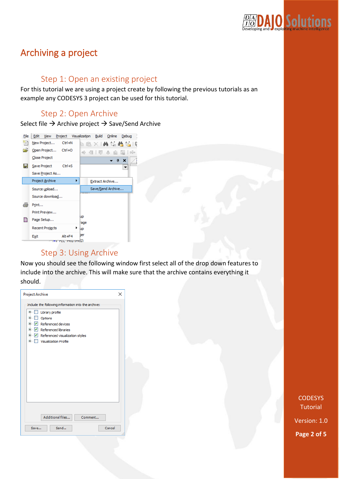

## <span id="page-3-0"></span>Archiving a project

#### Step 1: Open an existing project

<span id="page-3-1"></span>For this tutorial we are using a project create by following the previous tutorials as an example any CODESYS 3 project can be used for this tutorial.

### Step 2: Open Archive

<span id="page-3-2"></span>Select file  $\rightarrow$  Archive project  $\rightarrow$  Save/Send Archive



#### Step 3: Using Archive

<span id="page-3-3"></span>Now you should see the following window first select all of the drop down features to include into the archive. This will make sure that the archive contains everything it should.

| <b>Project Archive</b>                                                                                                                                                                                                                                                                                  | × |
|---------------------------------------------------------------------------------------------------------------------------------------------------------------------------------------------------------------------------------------------------------------------------------------------------------|---|
| Include the following information into the archive:<br>田…<br>Library profile<br><b>Taratta</b><br><b>E</b> Dptions<br>$\mathbb{E} \times \mathbb{V}$ Referenced devices<br>$\mathbb{E} \cdot \mathbf{V}$ Referenced libraries<br>E V Referenced visualization styles<br><b>E.</b> Visualization Profile |   |
| Additional files<br>Comment                                                                                                                                                                                                                                                                             |   |
| Send<br>Cancel<br>Save                                                                                                                                                                                                                                                                                  |   |

**CODESYS Tutorial** 

Version: 1.0 **Page 2 of 5**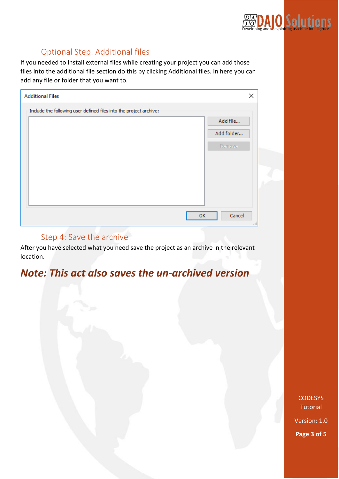

## Optional Step: Additional files

<span id="page-4-0"></span>If you needed to install external files while creating your project you can add those files into the additional file section do this by clicking Additional files. In here you can add any file or folder that you want to.

| <b>Additional Files</b>                                            | ×            |
|--------------------------------------------------------------------|--------------|
| Include the following user defined files into the project archive: |              |
|                                                                    | Add file     |
|                                                                    | Add folder   |
|                                                                    | Remove:      |
|                                                                    |              |
|                                                                    |              |
|                                                                    |              |
|                                                                    |              |
|                                                                    |              |
|                                                                    | Cancel<br>OK |
|                                                                    |              |

#### Step 4: Save the archive

<span id="page-4-1"></span>After you have selected what you need save the project as an archive in the relevant location.

# *Note: This act also saves the un-archived version*

**CODESYS Tutorial** 

Version: 1.0 **Page 3 of 5**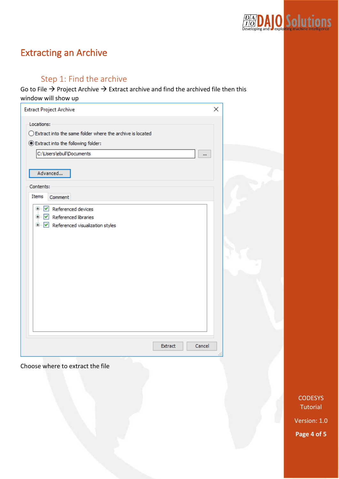

# <span id="page-5-0"></span>Extracting an Archive

## Step 1: Find the archive

<span id="page-5-1"></span>Go to File  $\rightarrow$  Project Archive  $\rightarrow$  Extract archive and find the archived file then this window will show up

| <b>Extract Project Archive</b>                                                                                                                                                     | × |
|------------------------------------------------------------------------------------------------------------------------------------------------------------------------------------|---|
| Locations:<br>$\bigcirc$ Extract into the same folder where the archive is located<br>Extract into the following folder:<br>C:\Users\ebull\Documents<br>m<br>Advanced<br>Contents: |   |
| <b>Items</b><br>Comment<br>E V Referenced devices<br>中 V Referenced libraries<br><b>E</b> V Referenced visualization styles                                                        |   |
|                                                                                                                                                                                    |   |
| Extract<br>Cancel                                                                                                                                                                  |   |

Choose where to extract the file

CODESYS **Tutorial** 

Version: 1.0 **Page 4 of 5**